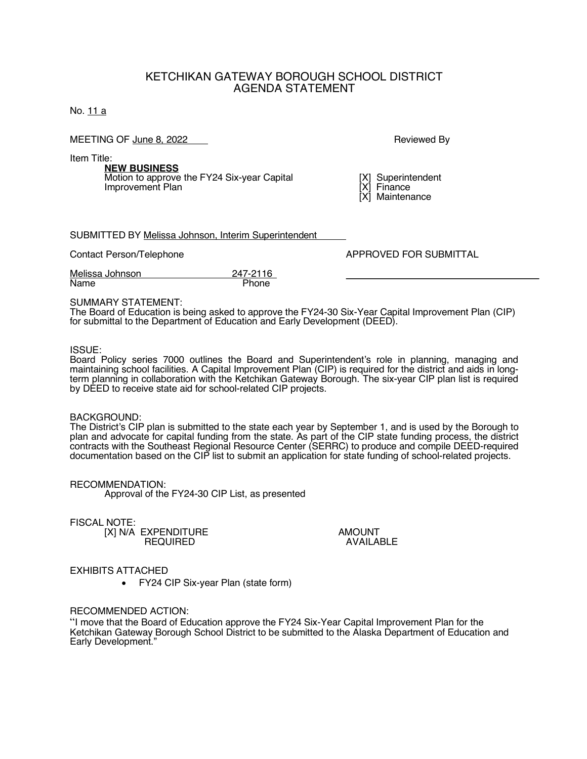### KETCHIKAN GATEWAY BOROUGH SCHOOL DISTRICT AGENDA STATEMENT

No. 11 a

MEETING OF June 8, 2022 The Contract of the Contract of the Reviewed By

Item Title:

**NEW BUSINESS** Motion to approve the FY24 Six-year Capital [X] Superintendent<br>Improvement Plan<br>IX1 Finance Improvement Plan

[X] Maintenance

SUBMITTED BY Melissa Johnson, Interim Superintendent

Contact Person/Telephone **APPROVED FOR SUBMITTAL** 

Melissa Johnson 247-2116<br>Name Phone Phone

SUMMARY STATEMENT:

The Board of Education is being asked to approve the FY24-30 Six-Year Capital Improvement Plan (CIP) for submittal to the Department of Education and Early Development (DEED).

#### ISSUE:

Board Policy series 7000 outlines the Board and Superintendent's role in planning, managing and maintaining school facilities. A Capital Improvement Plan (CIP) is required for the district and aids in long-<br>term planning in collaboration with the Ketchikan Gateway Borough. The six-year CIP plan list is required by DEED to receive state aid for school-related CIP projects.

#### BACKGROUND:

The District's CIP plan is submitted to the state each year by September 1, and is used by the Borough to plan and advocate for capital funding from the state. As part of the CIP state funding process, the district contracts with the Southeast Regional Resource Center (SERRC) to produce and compile DEED-required documentation based on the CIP list to submit an application for state funding of school-related projects.

RECOMMENDATION: Approval of the FY24-30 CIP List, as presented

FISCAL NOTE:

[X] N/A EXPENDITURE AMOUNT AND AMOUNT REQUIRED

**AVAILABLE** 

#### EXHIBITS ATTACHED

• FY24 CIP Six-year Plan (state form)

#### RECOMMENDED ACTION:

"I move that the Board of Education approve the FY24 Six-Year Capital Improvement Plan for the Ketchikan Gateway Borough School District to be submitted to the Alaska Department of Education and Early Development."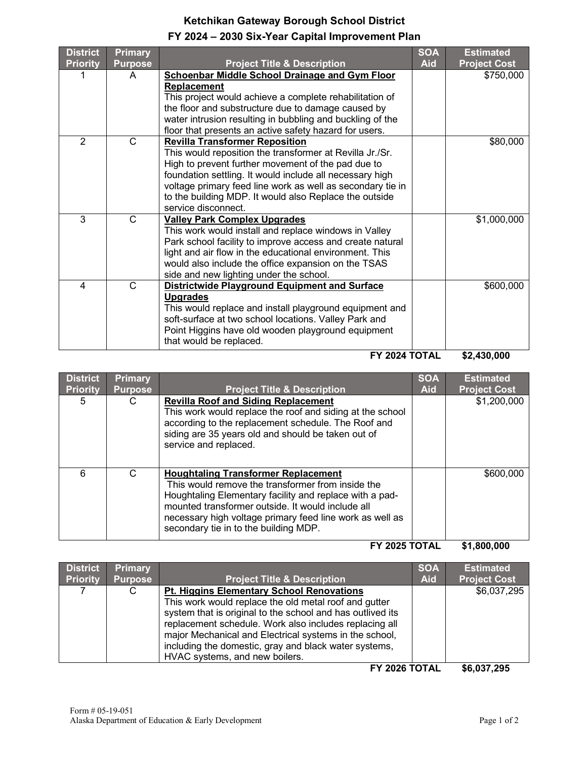# **Ketchikan Gateway Borough School District FY 2024 – 2030 Six-Year Capital Improvement Plan**

| <b>District</b> | <b>Primary</b> |                                                                                                                                                                                                                                                                                                                        | <b>SOA</b> | <b>Estimated</b>    |
|-----------------|----------------|------------------------------------------------------------------------------------------------------------------------------------------------------------------------------------------------------------------------------------------------------------------------------------------------------------------------|------------|---------------------|
| <b>Priority</b> | <b>Purpose</b> | <b>Project Title &amp; Description</b>                                                                                                                                                                                                                                                                                 | <b>Aid</b> | <b>Project Cost</b> |
|                 | A              | <b>Schoenbar Middle School Drainage and Gym Floor</b><br>Replacement<br>This project would achieve a complete rehabilitation of                                                                                                                                                                                        |            | \$750,000           |
|                 |                | the floor and substructure due to damage caused by                                                                                                                                                                                                                                                                     |            |                     |
|                 |                | water intrusion resulting in bubbling and buckling of the                                                                                                                                                                                                                                                              |            |                     |
| $\overline{2}$  | $\mathsf{C}$   | floor that presents an active safety hazard for users.<br><b>Revilla Transformer Reposition</b>                                                                                                                                                                                                                        |            | \$80,000            |
|                 |                | This would reposition the transformer at Revilla Jr./Sr.<br>High to prevent further movement of the pad due to<br>foundation settling. It would include all necessary high<br>voltage primary feed line work as well as secondary tie in                                                                               |            |                     |
|                 |                | to the building MDP. It would also Replace the outside                                                                                                                                                                                                                                                                 |            |                     |
|                 |                | service disconnect.                                                                                                                                                                                                                                                                                                    |            |                     |
| 3               | C              | <b>Valley Park Complex Upgrades</b><br>This work would install and replace windows in Valley<br>Park school facility to improve access and create natural<br>light and air flow in the educational environment. This<br>would also include the office expansion on the TSAS<br>side and new lighting under the school. |            | \$1,000,000         |
| 4               | C              | <b>Districtwide Playground Equipment and Surface</b><br><b>Upgrades</b><br>This would replace and install playground equipment and<br>soft-surface at two school locations. Valley Park and<br>Point Higgins have old wooden playground equipment<br>that would be replaced.                                           |            | \$600,000           |

**FY 2024 TOTAL \$2,430,000**

| <b>District</b> | <b>Primary</b> |                                                                                                                                                                                                                                                                                                                      | <b>SOA</b> | <b>Estimated</b>    |
|-----------------|----------------|----------------------------------------------------------------------------------------------------------------------------------------------------------------------------------------------------------------------------------------------------------------------------------------------------------------------|------------|---------------------|
| <b>Priority</b> | <b>Purpose</b> | <b>Project Title &amp; Description</b>                                                                                                                                                                                                                                                                               | <b>Aid</b> | <b>Project Cost</b> |
| 5.              | C.             | <b>Revilla Roof and Siding Replacement</b><br>This work would replace the roof and siding at the school<br>according to the replacement schedule. The Roof and<br>siding are 35 years old and should be taken out of<br>service and replaced.                                                                        |            | \$1,200,000         |
| 6               | C.             | <b>Houghtaling Transformer Replacement</b><br>This would remove the transformer from inside the<br>Houghtaling Elementary facility and replace with a pad-<br>mounted transformer outside. It would include all<br>necessary high voltage primary feed line work as well as<br>secondary tie in to the building MDP. |            | \$600,000           |

**FY 2025 TOTAL \$1,800,000**

| <b>Priority</b><br><b>Project Title &amp; Description</b><br><b>Project Cost</b><br><b>Purpose</b><br>Aid<br>\$6,037,295<br>Pt. Higgins Elementary School Renovations<br>This work would replace the old metal roof and gutter<br>system that is original to the school and has outlived its | <b>Estimated</b> |
|----------------------------------------------------------------------------------------------------------------------------------------------------------------------------------------------------------------------------------------------------------------------------------------------|------------------|
|                                                                                                                                                                                                                                                                                              |                  |
|                                                                                                                                                                                                                                                                                              |                  |
|                                                                                                                                                                                                                                                                                              |                  |
|                                                                                                                                                                                                                                                                                              |                  |
| replacement schedule. Work also includes replacing all                                                                                                                                                                                                                                       |                  |
| major Mechanical and Electrical systems in the school,                                                                                                                                                                                                                                       |                  |
| including the domestic, gray and black water systems,                                                                                                                                                                                                                                        |                  |
| HVAC systems, and new boilers.                                                                                                                                                                                                                                                               |                  |

**FY 2026 TOTAL \$6,037,295**